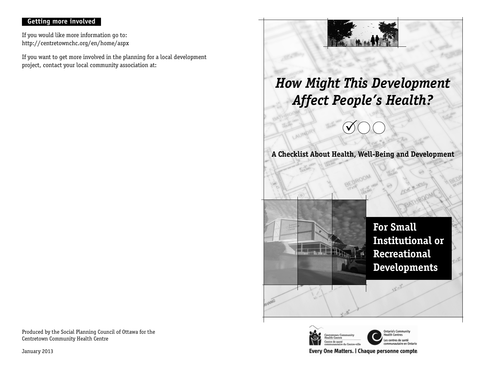## **Getting more involved**

If you would like more information go to: http://centretownchc.org/en/home/aspx

If you want to get more involved in the planning for a local development project, contact your local community association at:



Every One Matters. | Chaque personne compte.

Produced by the Social Planning Council of Ottawa for the Centretown Community Health Centre

January 2013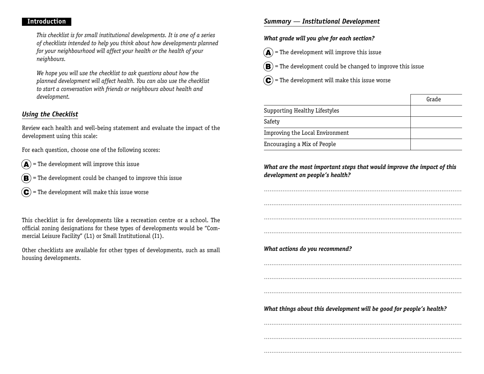#### **Introduction**

This checklist is for small institutional developments. It is one of a series of checklists intended to help you think about how developments planned for your neighbourhood will affect your health or the health of your neighbours.

We hope you will use the checklist to ask questions about how the planned development will affect health. You can also use the checklist to start a conversation with friends or neighbours about health and development.

## *Using the Checklist*

Review each health and well-being statement and evaluate the impact of the development using this scale:

For each question, choose one of the following scores:

- $\mathbf{A}$  = The development will improve this issue
- $(\mathbf{B})$  = The development could be changed to improve this issue
- $(\mathbf{C})$  = The development will make this issue worse

This checklist is for developments like a recreation centre or a school. The official zoning designations for these types of developments would be "Commercial Leisure Facility" (L1) or Small Institutional (I1).

Other checklists are available for other types of developments, such as small housing developments.

## *Summary — Institutional Development*

### **What grade will you give for each section?**

- $\mathbf{A}$  = The development will improve this issue
- $(\mathbf{B})$  = The development could be changed to improve this issue
- $(\mathbf{C})$  = The development will make this issue worse

|                                 | Grade |
|---------------------------------|-------|
| Supporting Healthy Lifestyles   |       |
| Safety                          |       |
| Improving the Local Environment |       |
| Encouraging a Mix of People     |       |

## **What are the most important steps that would improve the impact of this development on people's health?**

...........................................................................................................

...........................................................................................................

...........................................................................................................

...........................................................................................................

**What actions do you recommend?**

......................................................................................................................................................................................................................

...........................................................................................................

**What things about this development will be good for people's health?**

......................................................................................................................................................................................................................

...........................................................................................................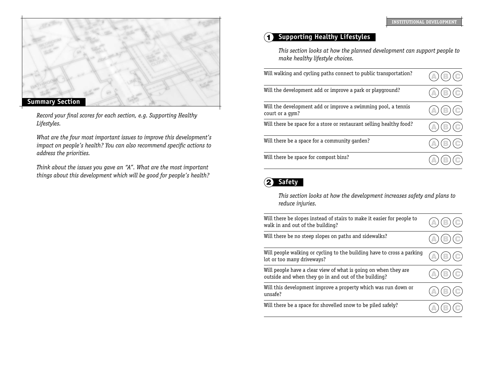

Record your final scores for each section, e.g. Supporting Healthy Lifestyles.

What are the four most important issues to improve this development's impact on people's health? You can also recommend specific actions to address the priorities.

Think about the issues you gave an "A". What are the most important things about this development which will be good for people's health?

# 1 **Supporting Healthy Lifestyles**

This section looks at how the planned development can support people to make healthy lifestyle choices.

| Will walking and cycling paths connect to public transportation?                 | $\left( $                     |
|----------------------------------------------------------------------------------|-------------------------------|
| Will the development add or improve a park or playground?                        | $(\textcolor{blue}{\bullet})$ |
| Will the development add or improve a swimming pool, a tennis<br>court or a gym? | $(\bigodot)$                  |
| Will there be space for a store or restaurant selling healthy food?              | $\circ$                       |
| Will there be a space for a community garden?                                    | $\left( $                     |
| Will there be space for compost bins?                                            |                               |

# 2 **Safety**

This section looks at how the development increases safety and plans to reduce injuries.

| Will there be slopes instead of stairs to make it easier for people to<br>walk in and out of the building?              |                           |
|-------------------------------------------------------------------------------------------------------------------------|---------------------------|
| Will there be no steep slopes on paths and sidewalks?                                                                   |                           |
| Will people walking or cycling to the building have to cross a parking<br>lot or too many driveways?                    | $\left( \bigcirc \right)$ |
| Will people have a clear view of what is going on when they are<br>outside and when they go in and out of the building? | $\circled{c}$             |
| Will this development improve a property which was run down or<br>unsafe?                                               |                           |
| Will there be a space for shovelled snow to be piled safely?                                                            |                           |